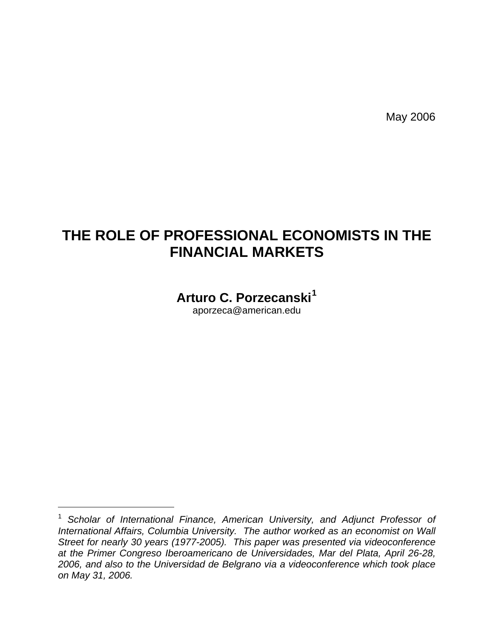May 2006

# **THE ROLE OF PROFESSIONAL ECONOMISTS IN THE FINANCIAL MARKETS**

**Arturo C. Porzecanski[1](#page-0-0)**

aporzeca@american.edu

<span id="page-0-0"></span><sup>&</sup>lt;sup>1</sup> Scholar of International Finance, American University, and Adjunct Professor of *International Affairs, Columbia University. The author worked as an economist on Wall Street for nearly 30 years (1977-2005). This paper was presented via videoconference at the Primer Congreso Iberoamericano de Universidades, Mar del Plata, April 26-28, 2006, and also to the Universidad de Belgrano via a videoconference which took place on May 31, 2006.*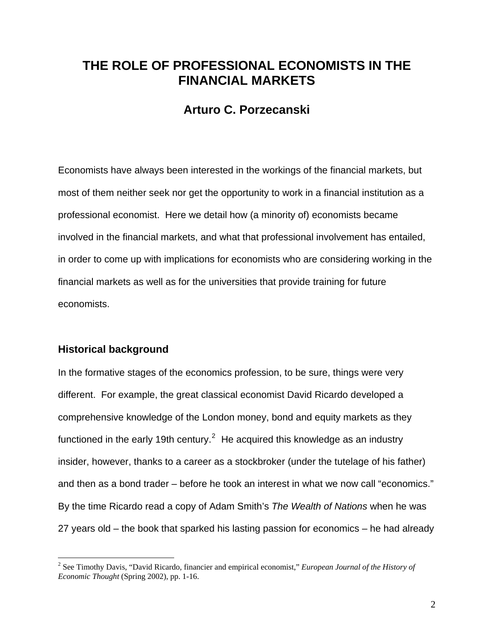## **THE ROLE OF PROFESSIONAL ECONOMISTS IN THE FINANCIAL MARKETS**

### **Arturo C. Porzecanski**

Economists have always been interested in the workings of the financial markets, but most of them neither seek nor get the opportunity to work in a financial institution as a professional economist. Here we detail how (a minority of) economists became involved in the financial markets, and what that professional involvement has entailed, in order to come up with implications for economists who are considering working in the financial markets as well as for the universities that provide training for future economists.

#### **Historical background**

In the formative stages of the economics profession, to be sure, things were very different. For example, the great classical economist David Ricardo developed a comprehensive knowledge of the London money, bond and equity markets as they functioned in the early 19th century.<sup>[2](#page-1-0)</sup> He acquired this knowledge as an industry insider, however, thanks to a career as a stockbroker (under the tutelage of his father) and then as a bond trader – before he took an interest in what we now call "economics." By the time Ricardo read a copy of Adam Smith's *The Wealth of Nations* when he was 27 years old – the book that sparked his lasting passion for economics – he had already

<span id="page-1-0"></span> 2 See Timothy Davis, "David Ricardo, financier and empirical economist," *European Journal of the History of Economic Thought* (Spring 2002), pp. 1-16.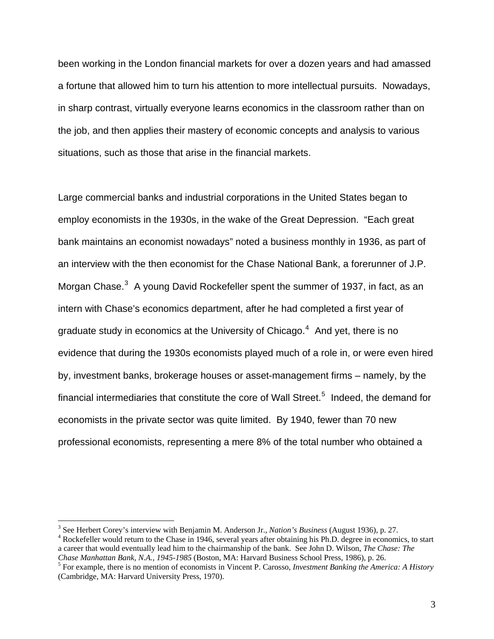been working in the London financial markets for over a dozen years and had amassed a fortune that allowed him to turn his attention to more intellectual pursuits. Nowadays, in sharp contrast, virtually everyone learns economics in the classroom rather than on the job, and then applies their mastery of economic concepts and analysis to various situations, such as those that arise in the financial markets.

Large commercial banks and industrial corporations in the United States began to employ economists in the 1930s, in the wake of the Great Depression. "Each great bank maintains an economist nowadays" noted a business monthly in 1936, as part of an interview with the then economist for the Chase National Bank, a forerunner of J.P. Morgan Chase. $^3$  $^3$  A young David Rockefeller spent the summer of 1937, in fact, as an intern with Chase's economics department, after he had completed a first year of graduate study in economics at the University of Chicago. $4$  And yet, there is no evidence that during the 1930s economists played much of a role in, or were even hired by, investment banks, brokerage houses or asset-management firms – namely, by the financial intermediaries that constitute the core of Wall Street.<sup>[5](#page-2-2)</sup> Indeed, the demand for economists in the private sector was quite limited. By 1940, fewer than 70 new professional economists, representing a mere 8% of the total number who obtained a

<span id="page-2-0"></span><sup>&</sup>lt;sup>3</sup> See Herbert Corey's interview with Benjamin M. Anderson Jr., *Nation's Business* (August 1936), p. 27. 4 Bookgraduate would return to the Checa in 1946, equated vector obtaining his Ph.D. degree in accommit-

<span id="page-2-1"></span><sup>&</sup>lt;sup>4</sup> Rockefeller would return to the Chase in 1946, several years after obtaining his Ph.D. degree in economics, to start a career that would eventually lead him to the chairmanship of the bank. See John D. Wilson, *The Chase: The Chase Manhattan Bank, N.A., 1945-1985* (Boston, MA: Harvard Business School Press, 1986), p. 26. 5

<span id="page-2-2"></span>For example, there is no mention of economists in Vincent P. Carosso, *Investment Banking the America: A History* (Cambridge, MA: Harvard University Press, 1970).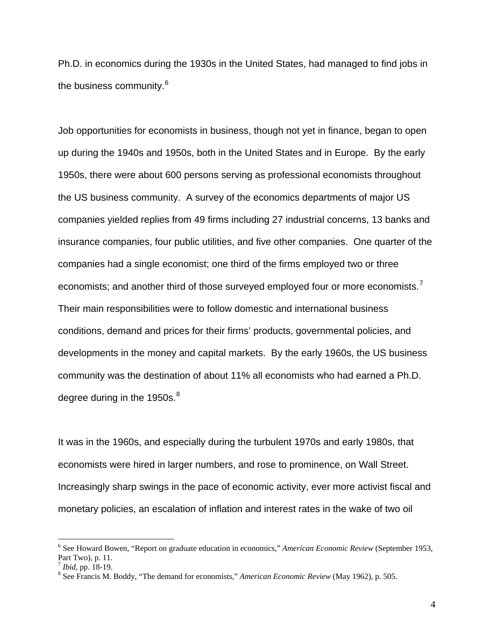Ph.D. in economics during the 1930s in the United States, had managed to find jobs in the business community.<sup>[6](#page-3-0)</sup>

Job opportunities for economists in business, though not yet in finance, began to open up during the 1940s and 1950s, both in the United States and in Europe. By the early 1950s, there were about 600 persons serving as professional economists throughout the US business community. A survey of the economics departments of major US companies yielded replies from 49 firms including 27 industrial concerns, 13 banks and insurance companies, four public utilities, and five other companies. One quarter of the companies had a single economist; one third of the firms employed two or three economists; and another third of those surveyed employed four or more economists.<sup>[7](#page-3-1)</sup> Their main responsibilities were to follow domestic and international business conditions, demand and prices for their firms' products, governmental policies, and developments in the money and capital markets. By the early 1960s, the US business community was the destination of about 11% all economists who had earned a Ph.D. degree during in the 1950s.<sup>[8](#page-3-2)</sup>

It was in the 1960s, and especially during the turbulent 1970s and early 1980s, that economists were hired in larger numbers, and rose to prominence, on Wall Street. Increasingly sharp swings in the pace of economic activity, ever more activist fiscal and monetary policies, an escalation of inflation and interest rates in the wake of two oil

<span id="page-3-0"></span><sup>6</sup> See Howard Bowen, "Report on graduate education in economics," *American Economic Review* (September 1953, Part Two), p. 11.

<span id="page-3-1"></span> $^7$  *Ibid*, pp. 18-19.

<span id="page-3-2"></span>See Francis M. Boddy, "The demand for economists," *American Economic Review* (May 1962), p. 505.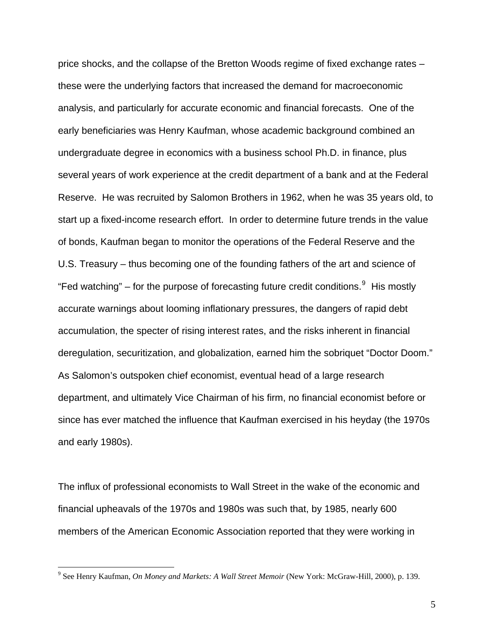price shocks, and the collapse of the Bretton Woods regime of fixed exchange rates – these were the underlying factors that increased the demand for macroeconomic analysis, and particularly for accurate economic and financial forecasts. One of the early beneficiaries was Henry Kaufman, whose academic background combined an undergraduate degree in economics with a business school Ph.D. in finance, plus several years of work experience at the credit department of a bank and at the Federal Reserve. He was recruited by Salomon Brothers in 1962, when he was 35 years old, to start up a fixed-income research effort. In order to determine future trends in the value of bonds, Kaufman began to monitor the operations of the Federal Reserve and the U.S. Treasury – thus becoming one of the founding fathers of the art and science of "Fed watching" – for the purpose of forecasting future credit conditions. $9$  His mostly accurate warnings about looming inflationary pressures, the dangers of rapid debt accumulation, the specter of rising interest rates, and the risks inherent in financial deregulation, securitization, and globalization, earned him the sobriquet "Doctor Doom." As Salomon's outspoken chief economist, eventual head of a large research department, and ultimately Vice Chairman of his firm, no financial economist before or since has ever matched the influence that Kaufman exercised in his heyday (the 1970s and early 1980s).

The influx of professional economists to Wall Street in the wake of the economic and financial upheavals of the 1970s and 1980s was such that, by 1985, nearly 600 members of the American Economic Association reported that they were working in

<span id="page-4-0"></span><sup>9</sup> See Henry Kaufman, *On Money and Markets: A Wall Street Memoir* (New York: McGraw-Hill, 2000), p. 139.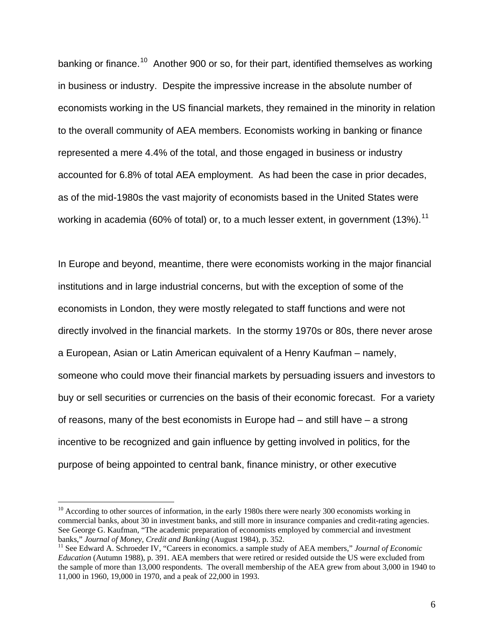banking or finance.<sup>[10](#page-5-0)</sup> Another 900 or so, for their part, identified themselves as working in business or industry. Despite the impressive increase in the absolute number of economists working in the US financial markets, they remained in the minority in relation to the overall community of AEA members. Economists working in banking or finance represented a mere 4.4% of the total, and those engaged in business or industry accounted for 6.8% of total AEA employment. As had been the case in prior decades, as of the mid-1980s the vast majority of economists based in the United States were working in academia (60% of total) or, to a much lesser extent, in government (13%).<sup>[11](#page-5-1)</sup>

In Europe and beyond, meantime, there were economists working in the major financial institutions and in large industrial concerns, but with the exception of some of the economists in London, they were mostly relegated to staff functions and were not directly involved in the financial markets. In the stormy 1970s or 80s, there never arose a European, Asian or Latin American equivalent of a Henry Kaufman – namely, someone who could move their financial markets by persuading issuers and investors to buy or sell securities or currencies on the basis of their economic forecast. For a variety of reasons, many of the best economists in Europe had  $-$  and still have  $-$  a strong incentive to be recognized and gain influence by getting involved in politics, for the purpose of being appointed to central bank, finance ministry, or other executive

<span id="page-5-0"></span> $10$  According to other sources of information, in the early 1980s there were nearly 300 economists working in commercial banks, about 30 in investment banks, and still more in insurance companies and credit-rating agencies. See George G. Kaufman, "The academic preparation of economists employed by commercial and investment banks," *Journal of Money, Credit and Banking* (August 1984), p. 352.<br><sup>11</sup> See Edward A. Schroeder IV, "Careers in economics. a sample study of AEA members," *Journal of Economic* 

<span id="page-5-1"></span>*Education* (Autumn 1988), p. 391. AEA members that were retired or resided outside the US were excluded from the sample of more than 13,000 respondents. The overall membership of the AEA grew from about 3,000 in 1940 to 11,000 in 1960, 19,000 in 1970, and a peak of 22,000 in 1993.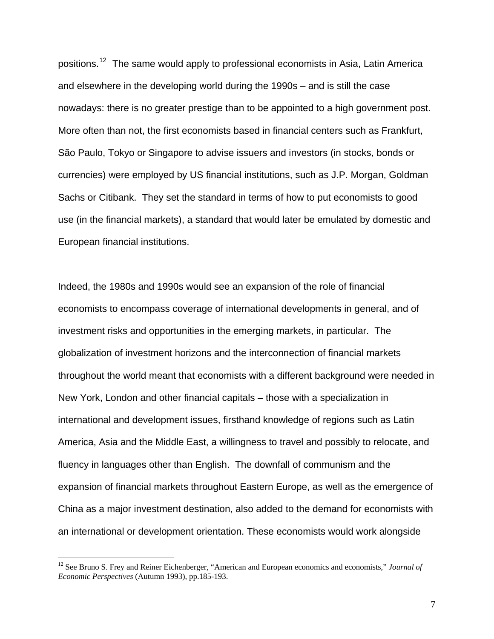positions.[12](#page-6-0) The same would apply to professional economists in Asia, Latin America and elsewhere in the developing world during the 1990s – and is still the case nowadays: there is no greater prestige than to be appointed to a high government post. More often than not, the first economists based in financial centers such as Frankfurt, São Paulo, Tokyo or Singapore to advise issuers and investors (in stocks, bonds or currencies) were employed by US financial institutions, such as J.P. Morgan, Goldman Sachs or Citibank. They set the standard in terms of how to put economists to good use (in the financial markets), a standard that would later be emulated by domestic and European financial institutions.

Indeed, the 1980s and 1990s would see an expansion of the role of financial economists to encompass coverage of international developments in general, and of investment risks and opportunities in the emerging markets, in particular. The globalization of investment horizons and the interconnection of financial markets throughout the world meant that economists with a different background were needed in New York, London and other financial capitals – those with a specialization in international and development issues, firsthand knowledge of regions such as Latin America, Asia and the Middle East, a willingness to travel and possibly to relocate, and fluency in languages other than English. The downfall of communism and the expansion of financial markets throughout Eastern Europe, as well as the emergence of China as a major investment destination, also added to the demand for economists with an international or development orientation. These economists would work alongside

<span id="page-6-0"></span><sup>&</sup>lt;sup>12</sup> See Bruno S. Frey and Reiner Eichenberger, "American and European economics and economists," *Journal of Economic Perspectives* (Autumn 1993), pp.185-193.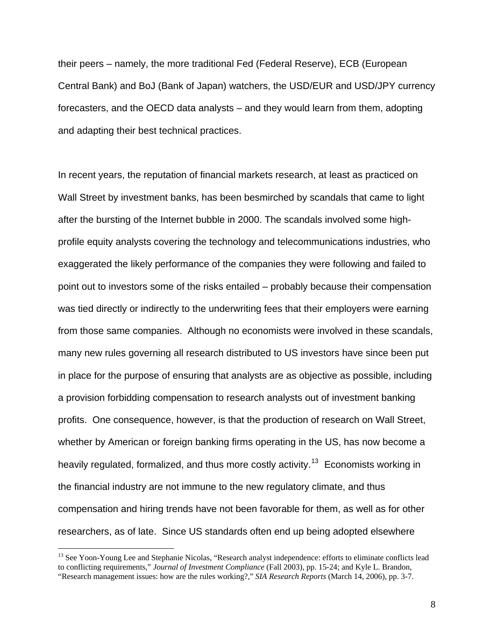their peers – namely, the more traditional Fed (Federal Reserve), ECB (European Central Bank) and BoJ (Bank of Japan) watchers, the USD/EUR and USD/JPY currency forecasters, and the OECD data analysts – and they would learn from them, adopting and adapting their best technical practices.

In recent years, the reputation of financial markets research, at least as practiced on Wall Street by investment banks, has been besmirched by scandals that came to light after the bursting of the Internet bubble in 2000. The scandals involved some highprofile equity analysts covering the technology and telecommunications industries, who exaggerated the likely performance of the companies they were following and failed to point out to investors some of the risks entailed – probably because their compensation was tied directly or indirectly to the underwriting fees that their employers were earning from those same companies. Although no economists were involved in these scandals, many new rules governing all research distributed to US investors have since been put in place for the purpose of ensuring that analysts are as objective as possible, including a provision forbidding compensation to research analysts out of investment banking profits. One consequence, however, is that the production of research on Wall Street, whether by American or foreign banking firms operating in the US, has now become a heavily regulated, formalized, and thus more costly activity.<sup>[13](#page-7-0)</sup> Economists working in the financial industry are not immune to the new regulatory climate, and thus compensation and hiring trends have not been favorable for them, as well as for other researchers, as of late. Since US standards often end up being adopted elsewhere

<span id="page-7-0"></span><sup>&</sup>lt;sup>13</sup> See Yoon-Young Lee and Stephanie Nicolas, "Research analyst independence: efforts to eliminate conflicts lead to conflicting requirements," *Journal of Investment Compliance* (Fall 2003), pp. 15-24; and Kyle L. Brandon, "Research management issues: how are the rules working?," *SIA Research Reports* (March 14, 2006), pp. 3-7.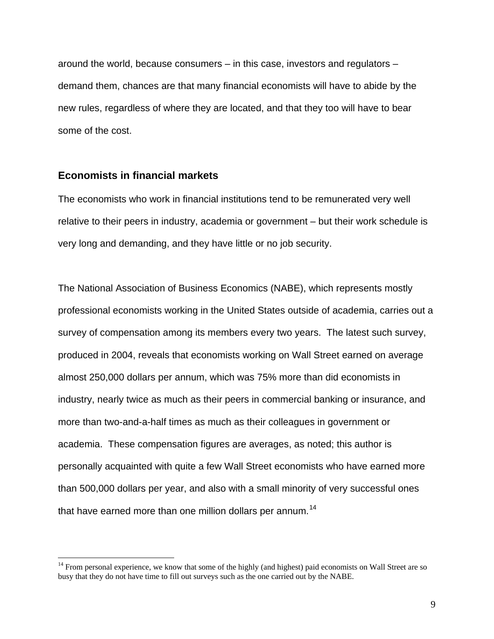around the world, because consumers – in this case, investors and regulators – demand them, chances are that many financial economists will have to abide by the new rules, regardless of where they are located, and that they too will have to bear some of the cost.

#### **Economists in financial markets**

 $\overline{a}$ 

The economists who work in financial institutions tend to be remunerated very well relative to their peers in industry, academia or government – but their work schedule is very long and demanding, and they have little or no job security.

The National Association of Business Economics (NABE), which represents mostly professional economists working in the United States outside of academia, carries out a survey of compensation among its members every two years. The latest such survey, produced in 2004, reveals that economists working on Wall Street earned on average almost 250,000 dollars per annum, which was 75% more than did economists in industry, nearly twice as much as their peers in commercial banking or insurance, and more than two-and-a-half times as much as their colleagues in government or academia. These compensation figures are averages, as noted; this author is personally acquainted with quite a few Wall Street economists who have earned more than 500,000 dollars per year, and also with a small minority of very successful ones that have earned more than one million dollars per annum.<sup>[14](#page-8-0)</sup>

<span id="page-8-0"></span><sup>&</sup>lt;sup>14</sup> From personal experience, we know that some of the highly (and highest) paid economists on Wall Street are so busy that they do not have time to fill out surveys such as the one carried out by the NABE.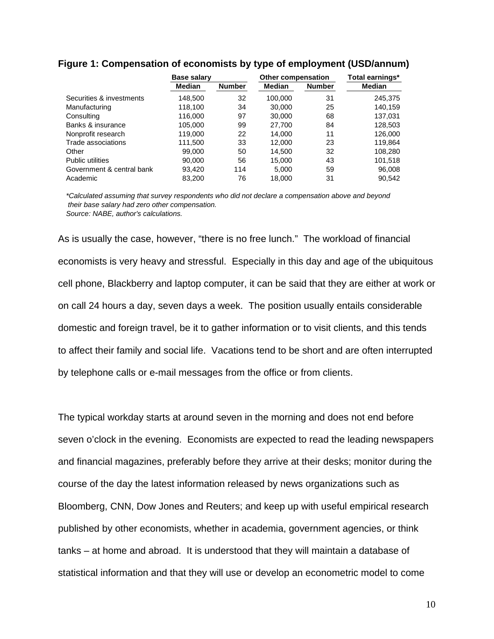|                           | Base salary   |               | <b>Other compensation</b> |               | Total earnings* |
|---------------------------|---------------|---------------|---------------------------|---------------|-----------------|
|                           | <b>Median</b> | <b>Number</b> | <b>Median</b>             | <b>Number</b> | <b>Median</b>   |
| Securities & investments  | 148,500       | 32            | 100,000                   | 31            | 245,375         |
| Manufacturing             | 118,100       | 34            | 30,000                    | 25            | 140.159         |
| Consulting                | 116,000       | 97            | 30,000                    | 68            | 137,031         |
| Banks & insurance         | 105,000       | 99            | 27,700                    | 84            | 128,503         |
| Nonprofit research        | 119,000       | 22            | 14,000                    | 11            | 126,000         |
| Trade associations        | 111.500       | 33            | 12.000                    | 23            | 119,864         |
| Other                     | 99.000        | 50            | 14,500                    | 32            | 108,280         |
| <b>Public utilities</b>   | 90.000        | 56            | 15,000                    | 43            | 101,518         |
| Government & central bank | 93,420        | 114           | 5,000                     | 59            | 96,008          |
| Academic                  | 83,200        | 76            | 18,000                    | 31            | 90,542          |

#### **Figure 1: Compensation of economists by type of employment (USD/annum)**

*\*Calculated assuming that survey respondents who did not declare a compensation above and beyond their base salary had zero other compensation. Source: NABE, author's calculations.*

As is usually the case, however, "there is no free lunch." The workload of financial economists is very heavy and stressful. Especially in this day and age of the ubiquitous cell phone, Blackberry and laptop computer, it can be said that they are either at work or on call 24 hours a day, seven days a week. The position usually entails considerable domestic and foreign travel, be it to gather information or to visit clients, and this tends to affect their family and social life. Vacations tend to be short and are often interrupted by telephone calls or e-mail messages from the office or from clients.

The typical workday starts at around seven in the morning and does not end before seven o'clock in the evening. Economists are expected to read the leading newspapers and financial magazines, preferably before they arrive at their desks; monitor during the course of the day the latest information released by news organizations such as Bloomberg, CNN, Dow Jones and Reuters; and keep up with useful empirical research published by other economists, whether in academia, government agencies, or think tanks – at home and abroad. It is understood that they will maintain a database of statistical information and that they will use or develop an econometric model to come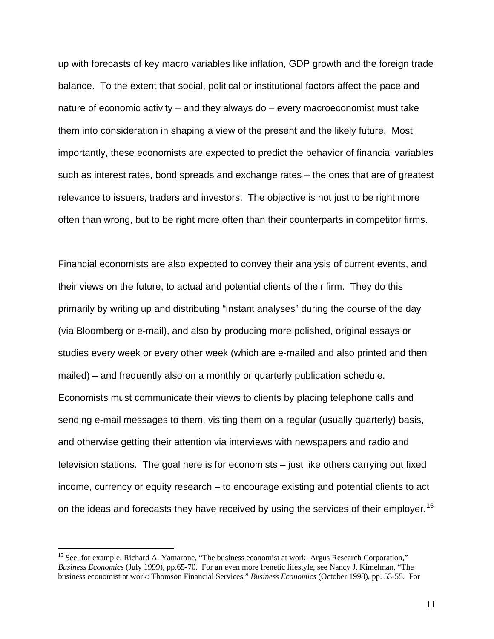up with forecasts of key macro variables like inflation, GDP growth and the foreign trade balance. To the extent that social, political or institutional factors affect the pace and nature of economic activity – and they always do – every macroeconomist must take them into consideration in shaping a view of the present and the likely future. Most importantly, these economists are expected to predict the behavior of financial variables such as interest rates, bond spreads and exchange rates – the ones that are of greatest relevance to issuers, traders and investors. The objective is not just to be right more often than wrong, but to be right more often than their counterparts in competitor firms.

Financial economists are also expected to convey their analysis of current events, and their views on the future, to actual and potential clients of their firm. They do this primarily by writing up and distributing "instant analyses" during the course of the day (via Bloomberg or e-mail), and also by producing more polished, original essays or studies every week or every other week (which are e-mailed and also printed and then mailed) – and frequently also on a monthly or quarterly publication schedule. Economists must communicate their views to clients by placing telephone calls and sending e-mail messages to them, visiting them on a regular (usually quarterly) basis, and otherwise getting their attention via interviews with newspapers and radio and television stations. The goal here is for economists – just like others carrying out fixed income, currency or equity research – to encourage existing and potential clients to act on the ideas and forecasts they have received by using the services of their employer.<sup>[15](#page-10-0)</sup>

<span id="page-10-0"></span><sup>&</sup>lt;sup>15</sup> See, for example, Richard A. Yamarone, "The business economist at work: Argus Research Corporation," *Business Economics* (July 1999), pp.65-70. For an even more frenetic lifestyle, see Nancy J. Kimelman, "The business economist at work: Thomson Financial Services," *Business Economics* (October 1998), pp. 53-55. For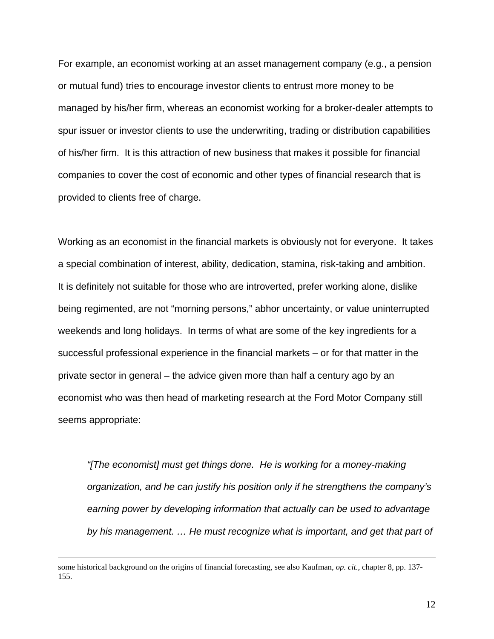For example, an economist working at an asset management company (e.g., a pension or mutual fund) tries to encourage investor clients to entrust more money to be managed by his/her firm, whereas an economist working for a broker-dealer attempts to spur issuer or investor clients to use the underwriting, trading or distribution capabilities of his/her firm. It is this attraction of new business that makes it possible for financial companies to cover the cost of economic and other types of financial research that is provided to clients free of charge.

Working as an economist in the financial markets is obviously not for everyone. It takes a special combination of interest, ability, dedication, stamina, risk-taking and ambition. It is definitely not suitable for those who are introverted, prefer working alone, dislike being regimented, are not "morning persons," abhor uncertainty, or value uninterrupted weekends and long holidays. In terms of what are some of the key ingredients for a successful professional experience in the financial markets – or for that matter in the private sector in general – the advice given more than half a century ago by an economist who was then head of marketing research at the Ford Motor Company still seems appropriate:

*"[The economist] must get things done. He is working for a money-making organization, and he can justify his position only if he strengthens the company's earning power by developing information that actually can be used to advantage*  by his management. ... He must recognize what is important, and get that part of

some historical background on the origins of financial forecasting, see also Kaufman, *op. cit.*, chapter 8, pp. 137- 155.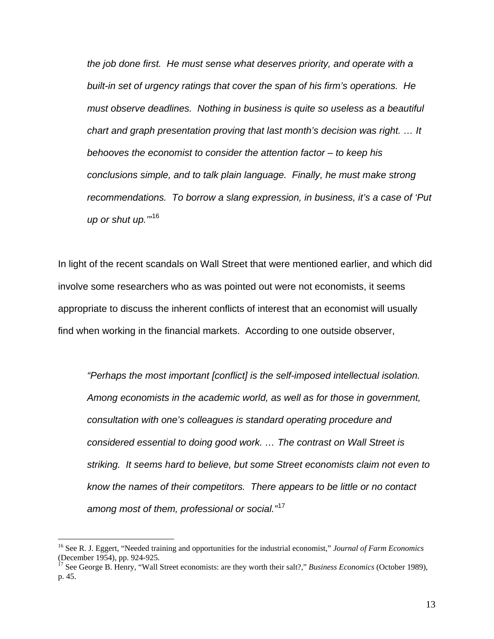*the job done first. He must sense what deserves priority, and operate with a built-in set of urgency ratings that cover the span of his firm's operations. He must observe deadlines. Nothing in business is quite so useless as a beautiful chart and graph presentation proving that last month's decision was right. … It behooves the economist to consider the attention factor – to keep his conclusions simple, and to talk plain language. Finally, he must make strong recommendations. To borrow a slang expression, in business, it's a case of 'Put up or shut up.'"*[16](#page-12-0)

In light of the recent scandals on Wall Street that were mentioned earlier, and which did involve some researchers who as was pointed out were not economists, it seems appropriate to discuss the inherent conflicts of interest that an economist will usually find when working in the financial markets. According to one outside observer,

*"Perhaps the most important [conflict] is the self-imposed intellectual isolation. Among economists in the academic world, as well as for those in government, consultation with one's colleagues is standard operating procedure and considered essential to doing good work. … The contrast on Wall Street is striking. It seems hard to believe, but some Street economists claim not even to know the names of their competitors. There appears to be little or no contact among most of them, professional or social."*[17](#page-12-1)

<span id="page-12-0"></span><sup>16</sup> See R. J. Eggert, "Needed training and opportunities for the industrial economist," *Journal of Farm Economics* (December 1954), pp. 924-925.

<span id="page-12-1"></span><sup>&</sup>lt;sup>17</sup> See George B. Henry, "Wall Street economists: are they worth their salt?," *Business Economics* (October 1989), p. 45.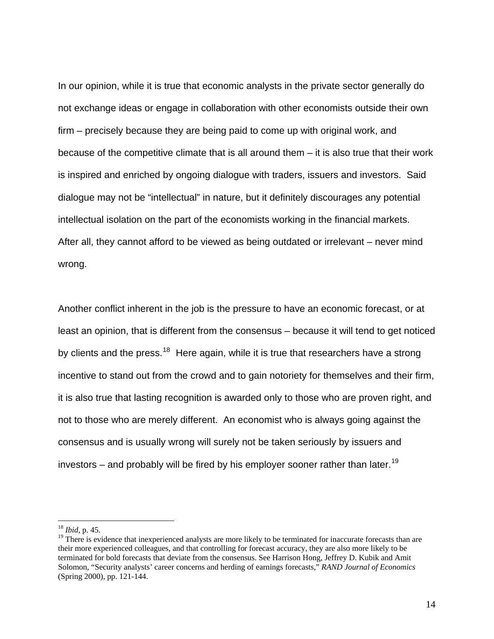In our opinion, while it is true that economic analysts in the private sector generally do not exchange ideas or engage in collaboration with other economists outside their own firm – precisely because they are being paid to come up with original work, and because of the competitive climate that is all around them – it is also true that their work is inspired and enriched by ongoing dialogue with traders, issuers and investors. Said dialogue may not be "intellectual" in nature, but it definitely discourages any potential intellectual isolation on the part of the economists working in the financial markets. After all, they cannot afford to be viewed as being outdated or irrelevant – never mind wrong.

Another conflict inherent in the job is the pressure to have an economic forecast, or at least an opinion, that is different from the consensus – because it will tend to get noticed by clients and the press.<sup>[18](#page-13-0)</sup> Here again, while it is true that researchers have a strong incentive to stand out from the crowd and to gain notoriety for themselves and their firm, it is also true that lasting recognition is awarded only to those who are proven right, and not to those who are merely different. An economist who is always going against the consensus and is usually wrong will surely not be taken seriously by issuers and investors – and probably will be fired by his employer sooner rather than later.<sup>[19](#page-13-1)</sup>

<span id="page-13-0"></span><sup>18</sup> *Ibid*, p. 45.

<span id="page-13-1"></span><sup>&</sup>lt;sup>19</sup> There is evidence that inexperienced analysts are more likely to be terminated for inaccurate forecasts than are their more experienced colleagues, and that controlling for forecast accuracy, they are also more likely to be terminated for bold forecasts that deviate from the consensus. See Harrison Hong, Jeffrey D. Kubik and Amit Solomon, "Security analysts' career concerns and herding of earnings forecasts," *RAND Journal of Economics* (Spring 2000), pp. 121-144.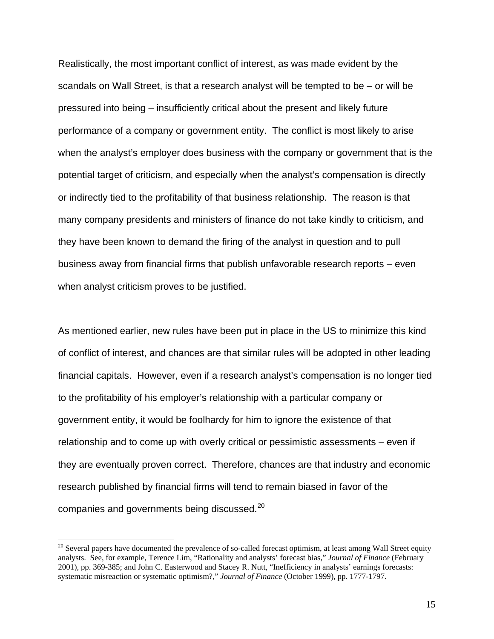Realistically, the most important conflict of interest, as was made evident by the scandals on Wall Street, is that a research analyst will be tempted to be – or will be pressured into being – insufficiently critical about the present and likely future performance of a company or government entity. The conflict is most likely to arise when the analyst's employer does business with the company or government that is the potential target of criticism, and especially when the analyst's compensation is directly or indirectly tied to the profitability of that business relationship. The reason is that many company presidents and ministers of finance do not take kindly to criticism, and they have been known to demand the firing of the analyst in question and to pull business away from financial firms that publish unfavorable research reports – even when analyst criticism proves to be justified.

As mentioned earlier, new rules have been put in place in the US to minimize this kind of conflict of interest, and chances are that similar rules will be adopted in other leading financial capitals. However, even if a research analyst's compensation is no longer tied to the profitability of his employer's relationship with a particular company or government entity, it would be foolhardy for him to ignore the existence of that relationship and to come up with overly critical or pessimistic assessments – even if they are eventually proven correct. Therefore, chances are that industry and economic research published by financial firms will tend to remain biased in favor of the companies and governments being discussed.[20](#page-14-0)

<span id="page-14-0"></span> $20$  Several papers have documented the prevalence of so-called forecast optimism, at least among Wall Street equity analysts. See, for example, Terence Lim, "Rationality and analysts' forecast bias," *Journal of Finance* (February 2001), pp. 369-385; and John C. Easterwood and Stacey R. Nutt, "Inefficiency in analysts' earnings forecasts: systematic misreaction or systematic optimism?," *Journal of Finance* (October 1999), pp. 1777-1797.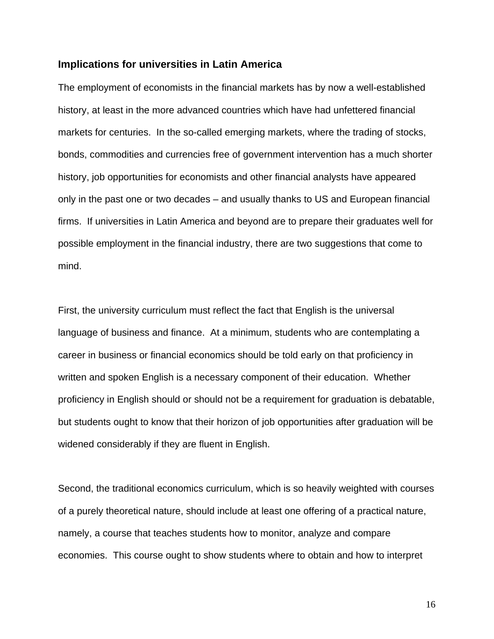#### **Implications for universities in Latin America**

The employment of economists in the financial markets has by now a well-established history, at least in the more advanced countries which have had unfettered financial markets for centuries. In the so-called emerging markets, where the trading of stocks, bonds, commodities and currencies free of government intervention has a much shorter history, job opportunities for economists and other financial analysts have appeared only in the past one or two decades – and usually thanks to US and European financial firms. If universities in Latin America and beyond are to prepare their graduates well for possible employment in the financial industry, there are two suggestions that come to mind.

First, the university curriculum must reflect the fact that English is the universal language of business and finance. At a minimum, students who are contemplating a career in business or financial economics should be told early on that proficiency in written and spoken English is a necessary component of their education. Whether proficiency in English should or should not be a requirement for graduation is debatable, but students ought to know that their horizon of job opportunities after graduation will be widened considerably if they are fluent in English.

Second, the traditional economics curriculum, which is so heavily weighted with courses of a purely theoretical nature, should include at least one offering of a practical nature, namely, a course that teaches students how to monitor, analyze and compare economies. This course ought to show students where to obtain and how to interpret

16